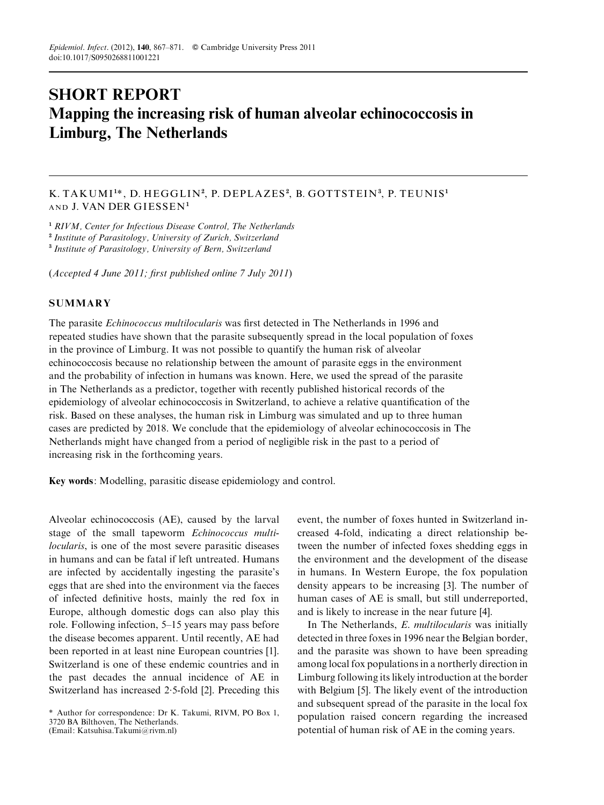# SHORT REPORT Mapping the increasing risk of human alveolar echinococcosis in Limburg, The Netherlands

# K. TAKUMI $^{\rm 1*}$ , D. HEGGLIN $^{\rm 2}$ , P. DEPLAZES $^{\rm 2}$ , B. GOTTSTEIN $^{\rm 3}$ , P. TEUNIS $^{\rm 1}$ AND J. VAN DER G IESSEN<sup>1</sup>

<sup>1</sup> RIVM, Center for Infectious Disease Control, The Netherlands

<sup>2</sup> Institute of Parasitology, University of Zurich, Switzerland

<sup>3</sup> Institute of Parasitology, University of Bern, Switzerland

(Accepted 4 June 2011; first published online 7 July 2011)

## **SUMMARY**

The parasite Echinococcus multilocularis was first detected in The Netherlands in 1996 and repeated studies have shown that the parasite subsequently spread in the local population of foxes in the province of Limburg. It was not possible to quantify the human risk of alveolar echinococcosis because no relationship between the amount of parasite eggs in the environment and the probability of infection in humans was known. Here, we used the spread of the parasite in The Netherlands as a predictor, together with recently published historical records of the epidemiology of alveolar echinococcosis in Switzerland, to achieve a relative quantification of the risk. Based on these analyses, the human risk in Limburg was simulated and up to three human cases are predicted by 2018. We conclude that the epidemiology of alveolar echinococcosis in The Netherlands might have changed from a period of negligible risk in the past to a period of increasing risk in the forthcoming years.

Key words: Modelling, parasitic disease epidemiology and control.

Alveolar echinococcosis (AE), caused by the larval stage of the small tapeworm Echinococcus multilocularis, is one of the most severe parasitic diseases in humans and can be fatal if left untreated. Humans are infected by accidentally ingesting the parasite's eggs that are shed into the environment via the faeces of infected definitive hosts, mainly the red fox in Europe, although domestic dogs can also play this role. Following infection, 5–15 years may pass before the disease becomes apparent. Until recently, AE had been reported in at least nine European countries [1]. Switzerland is one of these endemic countries and in the past decades the annual incidence of AE in Switzerland has increased 2. 5-fold [2]. Preceding this

event, the number of foxes hunted in Switzerland increased 4-fold, indicating a direct relationship between the number of infected foxes shedding eggs in the environment and the development of the disease in humans. In Western Europe, the fox population density appears to be increasing [3]. The number of human cases of AE is small, but still underreported, and is likely to increase in the near future [4].

In The Netherlands, *E. multilocularis* was initially detected in three foxes in 1996 near the Belgian border, and the parasite was shown to have been spreading among local fox populations in a northerly direction in Limburg following its likely introduction at the border with Belgium [5]. The likely event of the introduction and subsequent spread of the parasite in the local fox population raised concern regarding the increased potential of human risk of AE in the coming years.

<sup>\*</sup> Author for correspondence: Dr K. Takumi, RIVM, PO Box 1, 3720 BA Bilthoven, The Netherlands. (Email: Katsuhisa.Takumi@rivm.nl)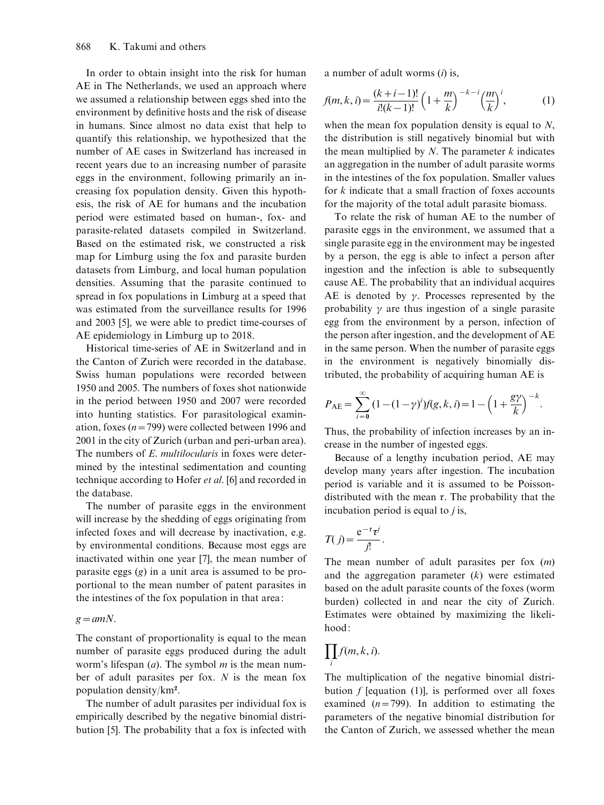In order to obtain insight into the risk for human AE in The Netherlands, we used an approach where we assumed a relationship between eggs shed into the environment by definitive hosts and the risk of disease in humans. Since almost no data exist that help to quantify this relationship, we hypothesized that the number of AE cases in Switzerland has increased in recent years due to an increasing number of parasite eggs in the environment, following primarily an increasing fox population density. Given this hypothesis, the risk of AE for humans and the incubation period were estimated based on human-, fox- and parasite-related datasets compiled in Switzerland. Based on the estimated risk, we constructed a risk map for Limburg using the fox and parasite burden datasets from Limburg, and local human population densities. Assuming that the parasite continued to spread in fox populations in Limburg at a speed that was estimated from the surveillance results for 1996 and 2003 [5], we were able to predict time-courses of AE epidemiology in Limburg up to 2018.

Historical time-series of AE in Switzerland and in the Canton of Zurich were recorded in the database. Swiss human populations were recorded between 1950 and 2005. The numbers of foxes shot nationwide in the period between 1950 and 2007 were recorded into hunting statistics. For parasitological examination, foxes ( $n=799$ ) were collected between 1996 and 2001 in the city of Zurich (urban and peri-urban area). The numbers of E. *multilocularis* in foxes were determined by the intestinal sedimentation and counting technique according to Hofer et al. [6] and recorded in the database.

The number of parasite eggs in the environment will increase by the shedding of eggs originating from infected foxes and will decrease by inactivation, e.g. by environmental conditions. Because most eggs are inactivated within one year [7], the mean number of parasite eggs (g) in a unit area is assumed to be proportional to the mean number of patent parasites in the intestines of the fox population in that area:

#### $g=amN$ .

The constant of proportionality is equal to the mean number of parasite eggs produced during the adult worm's lifespan  $(a)$ . The symbol m is the mean number of adult parasites per fox.  $N$  is the mean fox population density/ $km^2$ .

The number of adult parasites per individual fox is empirically described by the negative binomial distribution [5]. The probability that a fox is infected with

a number of adult worms  $(i)$  is,

$$
f(m,k,i) = \frac{(k+i-1)!}{i!(k-1)!} \left(1 + \frac{m}{k}\right)^{-k-i} \left(\frac{m}{k}\right)^i,
$$
 (1)

when the mean fox population density is equal to N, the distribution is still negatively binomial but with the mean multiplied by  $N$ . The parameter  $k$  indicates an aggregation in the number of adult parasite worms in the intestines of the fox population. Smaller values for k indicate that a small fraction of foxes accounts for the majority of the total adult parasite biomass.

To relate the risk of human AE to the number of parasite eggs in the environment, we assumed that a single parasite egg in the environment may be ingested by a person, the egg is able to infect a person after ingestion and the infection is able to subsequently cause AE. The probability that an individual acquires AE is denoted by  $\gamma$ . Processes represented by the probability  $\gamma$  are thus ingestion of a single parasite egg from the environment by a person, infection of the person after ingestion, and the development of AE in the same person. When the number of parasite eggs in the environment is negatively binomially distributed, the probability of acquiring human AE is

$$
P_{\text{AE}} = \sum_{i=0}^{\infty} (1 - (1 - \gamma)^i) f(g, k, i) = 1 - \left(1 + \frac{g\gamma}{k}\right)^{-k}.
$$

Thus, the probability of infection increases by an increase in the number of ingested eggs.

Because of a lengthy incubation period, AE may develop many years after ingestion. The incubation period is variable and it is assumed to be Poissondistributed with the mean  $\tau$ . The probability that the incubation period is equal to  $i$  is,

$$
T(j) = \frac{e^{-\tau} \tau^j}{j!}.
$$

The mean number of adult parasites per fox  $(m)$ and the aggregation parameter  $(k)$  were estimated based on the adult parasite counts of the foxes (worm burden) collected in and near the city of Zurich. Estimates were obtained by maximizing the likelihood:

$$
\prod_i f(m,k,i).
$$

The multiplication of the negative binomial distribution  $f$  [equation (1)], is performed over all foxes examined  $(n=799)$ . In addition to estimating the parameters of the negative binomial distribution for the Canton of Zurich, we assessed whether the mean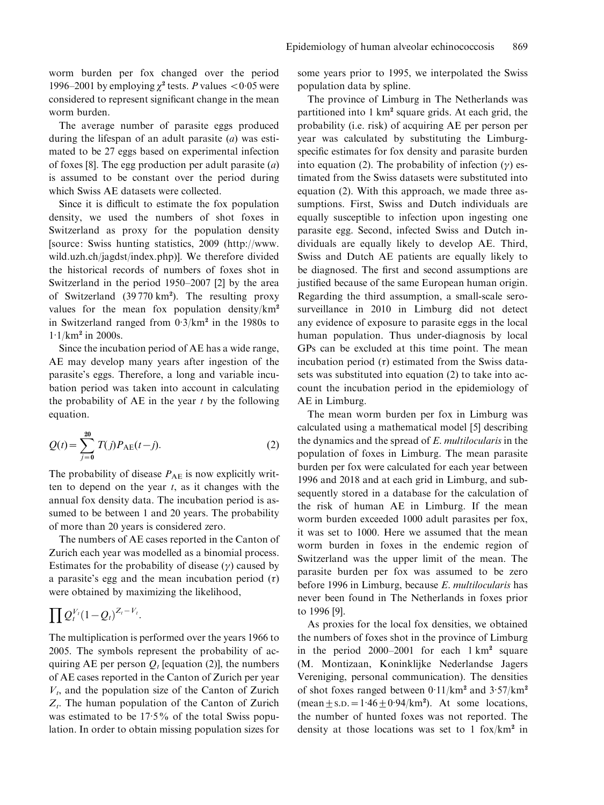worm burden per fox changed over the period 1996–2001 by employing  $\chi^2$  tests. P values <0.05 were considered to represent significant change in the mean worm burden.

The average number of parasite eggs produced during the lifespan of an adult parasite  $(a)$  was estimated to be 27 eggs based on experimental infection of foxes [8]. The egg production per adult parasite  $(a)$ is assumed to be constant over the period during which Swiss AE datasets were collected.

Since it is difficult to estimate the fox population density, we used the numbers of shot foxes in Switzerland as proxy for the population density [source: Swiss hunting statistics, 2009 (http://www. wild.uzh.ch/jagdst/index.php)]. We therefore divided the historical records of numbers of foxes shot in Switzerland in the period 1950–2007 [2] by the area of Switzerland (39 770 km<sup>2</sup>). The resulting proxy values for the mean fox population density/ $km^2$ in Switzerland ranged from  $0.3/km^2$  in the 1980s to  $1.1/km^2$  in 2000s.

Since the incubation period of AE has a wide range, AE may develop many years after ingestion of the parasite's eggs. Therefore, a long and variable incubation period was taken into account in calculating the probability of AE in the year  $t$  by the following equation.

$$
Q(t) = \sum_{j=0}^{20} T(j) P_{AE}(t-j).
$$
 (2)

The probability of disease  $P_{AE}$  is now explicitly written to depend on the year  $t$ , as it changes with the annual fox density data. The incubation period is assumed to be between 1 and 20 years. The probability of more than 20 years is considered zero.

The numbers of AE cases reported in the Canton of Zurich each year was modelled as a binomial process. Estimates for the probability of disease  $(y)$  caused by a parasite's egg and the mean incubation period  $(\tau)$ were obtained by maximizing the likelihood,

$$
\prod Q_t^{V_t}(1-Q_t)^{Z_t-V_t}.
$$

The multiplication is performed over the years 1966 to 2005. The symbols represent the probability of acquiring AE per person  $Q_t$  [equation (2)], the numbers of AE cases reported in the Canton of Zurich per year  $V_t$ , and the population size of the Canton of Zurich  $Z_t$ . The human population of the Canton of Zurich was estimated to be 17. 5% of the total Swiss population. In order to obtain missing population sizes for some years prior to 1995, we interpolated the Swiss population data by spline.

The province of Limburg in The Netherlands was partitioned into  $1 \text{ km}^2$  square grids. At each grid, the probability (i.e. risk) of acquiring AE per person per year was calculated by substituting the Limburgspecific estimates for fox density and parasite burden into equation (2). The probability of infection  $(\gamma)$  estimated from the Swiss datasets were substituted into equation (2). With this approach, we made three assumptions. First, Swiss and Dutch individuals are equally susceptible to infection upon ingesting one parasite egg. Second, infected Swiss and Dutch individuals are equally likely to develop AE. Third, Swiss and Dutch AE patients are equally likely to be diagnosed. The first and second assumptions are justified because of the same European human origin. Regarding the third assumption, a small-scale serosurveillance in 2010 in Limburg did not detect any evidence of exposure to parasite eggs in the local human population. Thus under-diagnosis by local GPs can be excluded at this time point. The mean incubation period  $(\tau)$  estimated from the Swiss datasets was substituted into equation (2) to take into account the incubation period in the epidemiology of AE in Limburg.

The mean worm burden per fox in Limburg was calculated using a mathematical model [5] describing the dynamics and the spread of E. multilocularis in the population of foxes in Limburg. The mean parasite burden per fox were calculated for each year between 1996 and 2018 and at each grid in Limburg, and subsequently stored in a database for the calculation of the risk of human AE in Limburg. If the mean worm burden exceeded 1000 adult parasites per fox, it was set to 1000. Here we assumed that the mean worm burden in foxes in the endemic region of Switzerland was the upper limit of the mean. The parasite burden per fox was assumed to be zero before 1996 in Limburg, because E. multilocularis has never been found in The Netherlands in foxes prior to 1996 [9].

As proxies for the local fox densities, we obtained the numbers of foxes shot in the province of Limburg in the period  $2000-2001$  for each  $1 \text{ km}^2$  square (M. Montizaan, Koninklijke Nederlandse Jagers Vereniging, personal communication). The densities of shot foxes ranged between  $0.11/km^2$  and  $3.57/km^2$  $(\text{mean} \pm \text{s.D.} = 1.46 \pm 0.94/\text{km}^2)$ . At some locations, the number of hunted foxes was not reported. The density at those locations was set to 1 fox/ $km^2$  in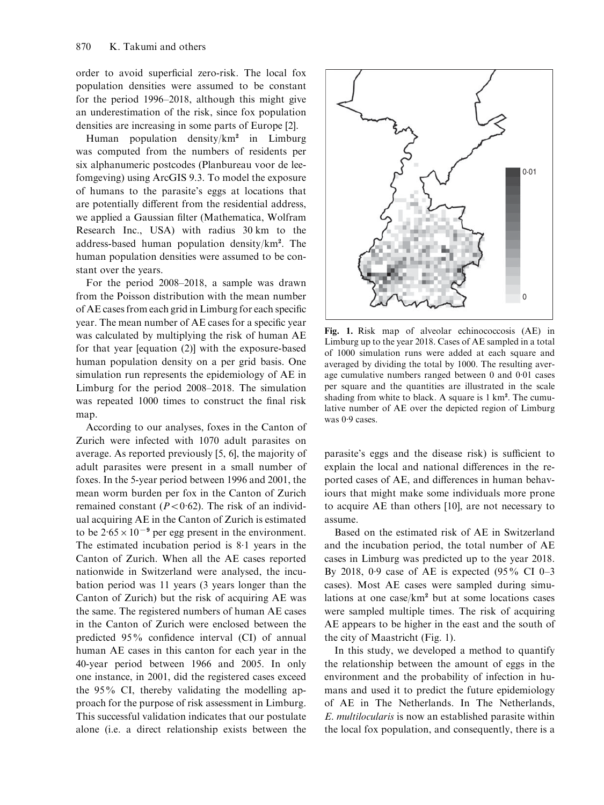order to avoid superficial zero-risk. The local fox population densities were assumed to be constant for the period 1996–2018, although this might give an underestimation of the risk, since fox population densities are increasing in some parts of Europe [2].

Human population density/km<sup>2</sup> in Limburg was computed from the numbers of residents per six alphanumeric postcodes (Planbureau voor de leefomgeving) using ArcGIS 9.3. To model the exposure of humans to the parasite's eggs at locations that are potentially different from the residential address, we applied a Gaussian filter (Mathematica, Wolfram Research Inc., USA) with radius 30 km to the address-based human population density/km<sup>2</sup> . The human population densities were assumed to be constant over the years.

For the period 2008–2018, a sample was drawn from the Poisson distribution with the mean number of AE cases from each grid in Limburg for each specific year. The mean number of AE cases for a specific year was calculated by multiplying the risk of human AE for that year [equation (2)] with the exposure-based human population density on a per grid basis. One simulation run represents the epidemiology of AE in Limburg for the period 2008–2018. The simulation was repeated 1000 times to construct the final risk map.

According to our analyses, foxes in the Canton of Zurich were infected with 1070 adult parasites on average. As reported previously [5, 6], the majority of adult parasites were present in a small number of foxes. In the 5-year period between 1996 and 2001, the mean worm burden per fox in the Canton of Zurich remained constant ( $P < 0.62$ ). The risk of an individual acquiring AE in the Canton of Zurich is estimated to be  $2.65 \times 10^{-9}$  per egg present in the environment. The estimated incubation period is 8. 1 years in the Canton of Zurich. When all the AE cases reported nationwide in Switzerland were analysed, the incubation period was 11 years (3 years longer than the Canton of Zurich) but the risk of acquiring AE was the same. The registered numbers of human AE cases in the Canton of Zurich were enclosed between the predicted 95% confidence interval (CI) of annual human AE cases in this canton for each year in the 40-year period between 1966 and 2005. In only one instance, in 2001, did the registered cases exceed the 95% CI, thereby validating the modelling approach for the purpose of risk assessment in Limburg. This successful validation indicates that our postulate alone (i.e. a direct relationship exists between the



Fig. 1. Risk map of alveolar echinococcosis (AE) in Limburg up to the year 2018. Cases of AE sampled in a total of 1000 simulation runs were added at each square and averaged by dividing the total by 1000. The resulting average cumulative numbers ranged between 0 and 0. 01 cases per square and the quantities are illustrated in the scale shading from white to black. A square is 1 km<sup>2</sup>. The cumulative number of AE over the depicted region of Limburg was 0.9 cases.

parasite's eggs and the disease risk) is sufficient to explain the local and national differences in the reported cases of AE, and differences in human behaviours that might make some individuals more prone to acquire AE than others [10], are not necessary to assume.

Based on the estimated risk of AE in Switzerland and the incubation period, the total number of AE cases in Limburg was predicted up to the year 2018. By 2018, 0. 9 case of AE is expected (95% CI 0–3 cases). Most AE cases were sampled during simulations at one case/ $km^2$  but at some locations cases were sampled multiple times. The risk of acquiring AE appears to be higher in the east and the south of the city of Maastricht (Fig. 1).

In this study, we developed a method to quantify the relationship between the amount of eggs in the environment and the probability of infection in humans and used it to predict the future epidemiology of AE in The Netherlands. In The Netherlands, E. multilocularis is now an established parasite within the local fox population, and consequently, there is a